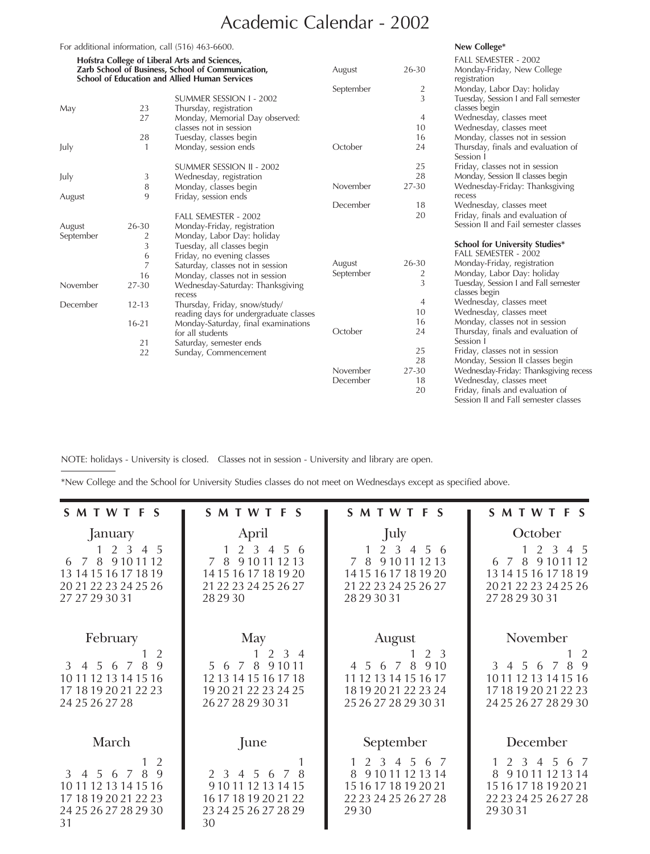## Academic Calendar - 2002

|           |                | For additional information, call (516) 463-6600.                                                          |           |                | New College*                                                             |
|-----------|----------------|-----------------------------------------------------------------------------------------------------------|-----------|----------------|--------------------------------------------------------------------------|
|           |                | Hofstra College of Liberal Arts and Sciences,                                                             |           |                | FALL SEMESTER - 2002                                                     |
|           |                | Zarb School of Business, School of Communication,<br><b>School of Education and Allied Human Services</b> | August    | 26-30          | Monday-Friday, New College<br>registration                               |
|           |                |                                                                                                           | September | $\overline{2}$ | Monday, Labor Day: holiday                                               |
|           |                | SUMMER SESSION I - 2002                                                                                   |           | 3              | Tuesday, Session I and Fall semester                                     |
| May       | 23             | Thursday, registration                                                                                    |           |                | classes begin                                                            |
|           | 27             | Monday, Memorial Day observed:                                                                            |           | 4              | Wednesday, classes meet                                                  |
|           |                | classes not in session                                                                                    |           | 10             | Wednesday, classes meet                                                  |
|           | 28             | Tuesday, classes begin                                                                                    |           | 16             | Monday, classes not in session                                           |
| July      | $\mathbf{1}$   | Monday, session ends                                                                                      | October   | 24             | Thursday, finals and evaluation of<br>Session 1                          |
|           |                | SUMMER SESSION II - 2002                                                                                  |           | 25             | Friday, classes not in session                                           |
| July      | 3              | Wednesday, registration                                                                                   |           | 28             | Monday, Session II classes begin                                         |
|           | 8              | Monday, classes begin                                                                                     | November  | 27-30          | Wednesday-Friday: Thanksgiving                                           |
| August    | 9              | Friday, session ends                                                                                      |           |                | recess                                                                   |
|           |                |                                                                                                           | December  | 18             | Wednesday, classes meet                                                  |
|           |                | FALL SEMESTER - 2002                                                                                      |           | 20             | Friday, finals and evaluation of                                         |
| August    | 26-30          | Monday-Friday, registration                                                                               |           |                | Session II and Fail semester classes                                     |
| September | $\overline{2}$ | Monday, Labor Day: holiday                                                                                |           |                |                                                                          |
|           | 3              | Tuesday, all classes begin                                                                                |           |                | <b>School for University Studies*</b>                                    |
|           | 6              | Friday, no evening classes                                                                                |           |                | FALL SEMESTER - 2002                                                     |
|           | 7              | Saturday, classes not in session                                                                          | August    | 26-30          | Monday-Friday, registration                                              |
|           | 16             | Monday, classes not in session                                                                            | September | $\overline{2}$ | Monday, Labor Day: holiday                                               |
| November  | 27-30          | Wednesday-Saturday: Thanksgiving<br>recess                                                                |           | 3              | Tuesday, Session I and Fall semester<br>classes begin                    |
| December  | $12 - 13$      | Thursday, Friday, snow/study/                                                                             |           | 4              | Wednesday, classes meet                                                  |
|           |                | reading days for undergraduate classes                                                                    |           | 10             | Wednesday, classes meet                                                  |
|           | $16 - 21$      | Monday-Saturday, final examinations                                                                       |           | 16             | Monday, classes not in session                                           |
|           |                | for all students                                                                                          | October   | 24             | Thursday, finals and evaluation of                                       |
|           | 21             | Saturday, semester ends                                                                                   |           |                | Session I                                                                |
|           | 22             | Sunday, Commencement                                                                                      |           | 25             | Friday, classes not in session                                           |
|           |                |                                                                                                           |           | 28             | Monday, Session II classes begin                                         |
|           |                |                                                                                                           | November  | 27-30          | Wednesday-Friday: Thanksgiving recess                                    |
|           |                |                                                                                                           | December  | 18             | Wednesday, classes meet                                                  |
|           |                |                                                                                                           |           | 20             | Friday, finals and evaluation of<br>Session II and Fall semester classes |

NOTE: holidays - University is closed. Classes not in session - University and library are open.

\*New College and the School for University Studies classes do not meet on Wednesdays except as specified above.

| S M T W T F S                                                                                                                            | S M T W T F S                                                                                            | S M T W T F S                                                                                                                                   | S M T W T F S                                                                                                   |
|------------------------------------------------------------------------------------------------------------------------------------------|----------------------------------------------------------------------------------------------------------|-------------------------------------------------------------------------------------------------------------------------------------------------|-----------------------------------------------------------------------------------------------------------------|
| January                                                                                                                                  | April                                                                                                    | July                                                                                                                                            | October                                                                                                         |
| 1 2 3 4 5<br>9 10 11 12<br>78<br>6<br>13 14 15 16 17 18 19<br>20 21 22 23 24 25 26<br>27 27 29 30 31                                     | 2 3<br>4 5 6<br>9 10 11 12 13<br>78<br>14 15 16 17 18 19 20<br>21 22 23 24 25 26 27<br>28 29 30          | 2 3<br>$4\,5\,6$<br>9 10 11 12 13<br>7 8<br>14 15 16 17 18 19 20<br>21 22 23 24 25 26 27<br>28 29 30 31                                         | 2 <sub>3</sub><br>4 5<br>6 7 8 9 10 11<br>-12<br>13 14 15 16 17 18 19<br>20 21 22 23 24 25 26<br>27 28 29 30 31 |
| February                                                                                                                                 | May                                                                                                      | August                                                                                                                                          | November                                                                                                        |
| 2<br>$\mathbf{Q}$<br>8<br>3 4 5<br>7<br>- 6<br>10 11 12 13 14 15 16<br>17 18 19 20 21 22 23<br>24 25 26 27 28                            | $2 \t3 \t4$<br>5 6 7 8<br>9 1 0 1 1<br>12 13 14 15 16 17 18<br>19 20 21 22 23 24 25<br>26 27 28 29 30 31 | 2 3<br>4 5 6 7<br>8<br>9.10<br>11 12 13 14 15 16 17<br>18 19 20 21 22 23 24<br>25 26 27 28 29 30 31                                             | 2<br>8<br>3 4 5 6<br>7<br>-9<br>10 11 12 13 14 15 16<br>17 18 19 20 21 22 23<br>24 25 26 27 28 29 30            |
| March                                                                                                                                    | June                                                                                                     | September                                                                                                                                       | December                                                                                                        |
| 2<br>9<br>8<br>$\mathcal{E}$<br>4 5<br>6<br>$\overline{7}$<br>10 11 12 13 14 15 16<br>17 18 19 20 21 22 23<br>24 25 26 27 28 29 30<br>31 | 2 3 4 5<br>8<br>-6<br>7<br>9 10 11 12 13 14 15<br>16 17 18 19 20 21 22<br>23 24 25 26 27 28 29<br>30     | 6<br>$\mathcal{P}$<br>$\overline{3}$<br>$\overline{4}$<br>.5.<br>8<br>9 10 11 12 13 14<br>15 16 17 18 19 20 21<br>22 23 24 25 26 27 28<br>29.30 | 2 3 4<br>.5.<br>6 7<br>8<br>9 10 11 12 13 14<br>15 16 17 18 19 20 21<br>22 23 24 25 26 27 28<br>293031          |